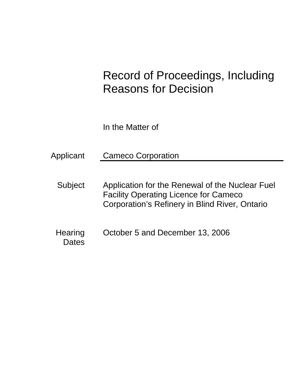# Record of Proceedings, Including Reasons for Decision

In the Matter of

Applicant Cameco Corporation

- Subject Application for the Renewal of the Nuclear Fuel Facility Operating Licence for Cameco Corporation's Refinery in Blind River, Ontario
- Hearing October 5 and December 13, 2006 **Dates**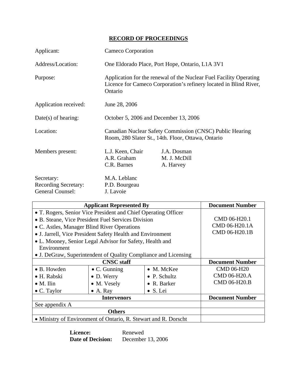# **RECORD OF PROCEEDINGS**

| Applicant:                                                           | Cameco Corporation                                                                                                                                 |                                          |  |
|----------------------------------------------------------------------|----------------------------------------------------------------------------------------------------------------------------------------------------|------------------------------------------|--|
| Address/Location:                                                    | One Eldorado Place, Port Hope, Ontario, L1A 3V1                                                                                                    |                                          |  |
| Purpose:                                                             | Application for the renewal of the Nuclear Fuel Facility Operating<br>Licence for Cameco Corporation's refinery located in Blind River,<br>Ontario |                                          |  |
| Application received:                                                | June 28, 2006                                                                                                                                      |                                          |  |
| $Date(s)$ of hearing:                                                | October 5, 2006 and December 13, 2006                                                                                                              |                                          |  |
| Location:                                                            | Canadian Nuclear Safety Commission (CNSC) Public Hearing<br>Room, 280 Slater St., 14th. Floor, Ottawa, Ontario                                     |                                          |  |
| Members present:                                                     | L.J. Keen, Chair<br>A.R. Graham<br>C.R. Barnes                                                                                                     | J.A. Dosman<br>M. J. McDill<br>A. Harvey |  |
| Secretary:<br><b>Recording Secretary:</b><br><b>General Counsel:</b> | M.A. Leblanc<br>P.D. Bourgeau<br>J. Lavoie                                                                                                         |                                          |  |

| <b>Applicant Represented By</b>                                 | <b>Document Number</b> |                      |                        |
|-----------------------------------------------------------------|------------------------|----------------------|------------------------|
| • T. Rogers, Senior Vice President and Chief Operating Officer  |                        |                      |                        |
| • B. Steane, Vice President Fuel Services Division              |                        |                      | CMD 06-H20.1           |
| • C. Astles, Manager Blind River Operations                     |                        |                      | CMD 06-H20.1A          |
| • J. Jarrell, Vice President Safety Health and Environment      |                        |                      | CMD 06-H20.1B          |
| • L. Mooney, Senior Legal Advisor for Safety, Health and        |                        |                      |                        |
| Environment                                                     |                        |                      |                        |
| • J. DeGraw, Superintendent of Quality Compliance and Licensing |                        |                      |                        |
| <b>CNSC</b> staff                                               |                        |                      | <b>Document Number</b> |
| $\bullet$ B. Howden                                             | $\bullet$ C. Gunning   | $\bullet$ M. McKee   | <b>CMD 06-H20</b>      |
| • H. Rabski                                                     | $\bullet$ D. Werry     | $\bullet$ P. Schultz | CMD 06-H20.A           |
| $\bullet$ M. Ilin                                               | • M. Vesely            | $\bullet$ R. Barker  | CMD 06-H20.B           |
| • C. Taylor                                                     | $\bullet$ A. Ray       | • S. Lei             |                        |
| <b>Intervenors</b>                                              |                        |                      | <b>Document Number</b> |
| See appendix A                                                  |                        |                      |                        |
| <b>Others</b>                                                   |                        |                      |                        |
| • Ministry of Environment of Ontario, R. Stewart and R. Dorscht |                        |                      |                        |

Licence: Renewed **Date of Decision:** December 13, 2006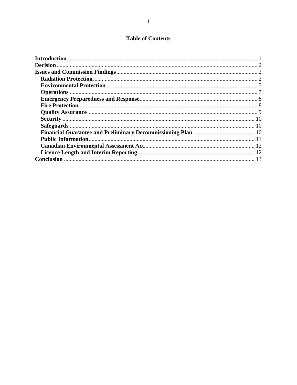# **Table of Contents**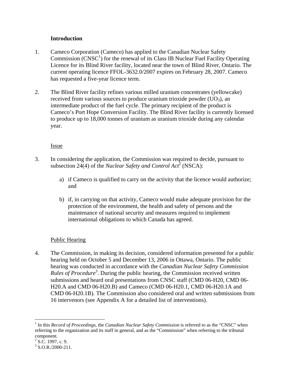## **Introduction**

- 1. Cameco Corporation (Cameco) has applied to the Canadian Nuclear Safety  $Commission (CNSC<sup>1</sup>)$  for the renewal of its Class IB Nuclear Fuel Facility Operating Licence for its Blind River facility, located near the town of Blind River, Ontario. The current operating licence FFOL-3632.0/2007 expires on February 28, 2007. Cameco has requested a five-year licence term.
- 2. The Blind River facility refines various milled uranium concentrates (yellowcake) received from various sources to produce uranium trioxide powder  $(UO<sub>3</sub>)$ , an intermediate product of the fuel cycle. The primary recipient of the product is Cameco's Port Hope Conversion Facility. The Blind River facility is currently licensed to produce up to 18,000 tonnes of uranium as uranium trioxide during any calendar year.

### Issue

- 3. In considering the application, the Commission was required to decide, pursuant to subsection 24(4) of the *Nuclear Safety and Control Act*<sup>2</sup> (NSCA):
	- a) if Cameco is qualified to carry on the activity that the licence would authorize; and
	- b) if, in carrying on that activity, Cameco would make adequate provision for the protection of the environment, the health and safety of persons and the maintenance of national security and measures required to implement international obligations to which Canada has agreed.

# Public Hearing

4. The Commission, in making its decision, considered information presented for a public hearing held on October 5 and December 13, 2006 in Ottawa, Ontario. The public hearing was conducted in accordance with the *Canadian Nuclear Safety Commission*  Rules of Procedure<sup>3</sup>. During the public hearing, the Commission received written submissions and heard oral presentations from CNSC staff (CMD 06-H20, CMD 06- H20.A and CMD 06-H20.B) and Cameco (CMD 06-H20.1, CMD 06-H20.1A and CMD 06-H20.1B). The Commission also considered oral and written submissions from 16 intervenors (see Appendix A for a detailed list of interventions).

 $\overline{a}$ 

<sup>&</sup>lt;sup>1</sup> In this *Record of Proceedings*, the *Canadian Nuclear Safety Commission* is referred to as the "CNSC" when referring to the organization and its staff in general, and as the "Commission" when referring to the tribunal component.

 $2$  S.C. 1997, c. 9.

 $3$  S.O.R./2000-211.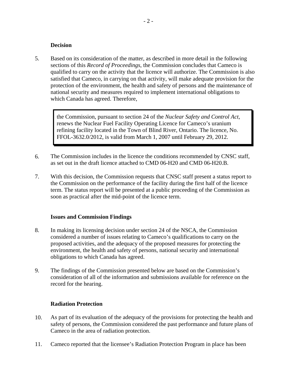#### **Decision**

5. Based on its consideration of the matter, as described in more detail in the following sections of this *Record of Proceedings*, the Commission concludes that Cameco is qualified to carry on the activity that the licence will authorize. The Commission is also satisfied that Cameco, in carrying on that activity, will make adequate provision for the protection of the environment, the health and safety of persons and the maintenance of national security and measures required to implement international obligations to which Canada has agreed. Therefore,

> the Commission, pursuant to section 24 of the *Nuclear Safety and Control Act*, renews the Nuclear Fuel Facility Operating Licence for Cameco's uranium refining facility located in the Town of Blind River, Ontario. The licence, No. FFOL-3632.0/2012, is valid from March 1, 2007 until February 29, 2012.

- 6. The Commission includes in the licence the conditions recommended by CNSC staff, as set out in the draft licence attached to CMD 06-H20 and CMD 06-H20.B.
- 7. With this decision, the Commission requests that CNSC staff present a status report to the Commission on the performance of the facility during the first half of the licence term. The status report will be presented at a public proceeding of the Commission as soon as practical after the mid-point of the licence term.

#### **Issues and Commission Findings**

- 8. In making its licensing decision under section 24 of the NSCA, the Commission considered a number of issues relating to Cameco's qualifications to carry on the proposed activities, and the adequacy of the proposed measures for protecting the environment, the health and safety of persons, national security and international obligations to which Canada has agreed.
- 9. The findings of the Commission presented below are based on the Commission's consideration of all of the information and submissions available for reference on the record for the hearing.

#### **Radiation Protection**

- 10. As part of its evaluation of the adequacy of the provisions for protecting the health and safety of persons, the Commission considered the past performance and future plans of Cameco in the area of radiation protection.
- 11. Cameco reported that the licensee's Radiation Protection Program in place has been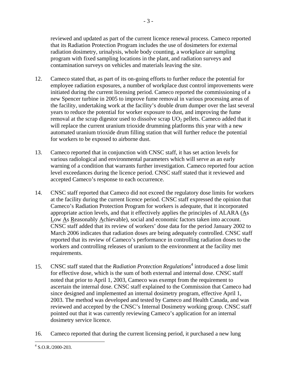reviewed and updated as part of the current licence renewal process. Cameco reported that its Radiation Protection Program includes the use of dosimeters for external radiation dosimetry, urinalysis, whole body counting, a workplace air sampling program with fixed sampling locations in the plant, and radiation surveys and contamination surveys on vehicles and materials leaving the site.

- 12. Cameco stated that, as part of its on-going efforts to further reduce the potential for employee radiation exposures, a number of workplace dust control improvements were initiated during the current licensing period. Cameco reported the commissioning of a new Spencer turbine in 2005 to improve fume removal in various processing areas of the facility, undertaking work at the facility's double drum dumper over the last several years to reduce the potential for worker exposure to dust, and improving the fume removal at the scrap digestor used to dissolve scrap  $UO<sub>2</sub>$  pellets. Cameco added that it will replace the current uranium trioxide drumming platforms this year with a new automated uranium trioxide drum filling station that will further reduce the potential for workers to be exposed to airborne dust.
- 13. Cameco reported that in conjunction with CNSC staff, it has set action levels for various radiological and environmental parameters which will serve as an early warning of a condition that warrants further investigation. Cameco reported four action level exceedances during the licence period. CNSC staff stated that it reviewed and accepted Cameco's response to each occurrence.
- 14. CNSC staff reported that Cameco did not exceed the regulatory dose limits for workers at the facility during the current licence period. CNSC staff expressed the opinion that Cameco's Radiation Protection Program for workers is adequate, that it incorporated appropriate action levels, and that it effectively applies the principles of ALARA  $(As)$ Low As Reasonably Achievable), social and economic factors taken into account. CNSC staff added that its review of workers' dose data for the period January 2002 to March 2006 indicates that radiation doses are being adequately controlled. CNSC staff reported that its review of Cameco's performance in controlling radiation doses to the workers and controlling releases of uranium to the environment at the facility met requirements.
- 15. CNSC staff stated that the *Radiation Protection Regulations*<sup>4</sup> introduced a dose limit for effective dose, which is the sum of both external and internal dose. CNSC staff noted that prior to April 1, 2003, Cameco was exempt from the requirement to ascertain the internal dose. CNSC staff explained to the Commission that Cameco had since designed and implemented an internal dosimetry program, effective April 1, 2003. The method was developed and tested by Cameco and Health Canada, and was reviewed and accepted by the CNSC's Internal Dosimetry working group. CNSC staff pointed out that it was currently reviewing Cameco's application for an internal dosimetry service licence.
- 16. Cameco reported that during the current licensing period, it purchased a new lung

 $\overline{a}$ 

 $4$  S.O.R./2000-203.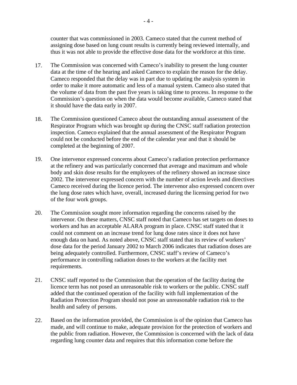counter that was commissioned in 2003. Cameco stated that the current method of assigning dose based on lung count results is currently being reviewed internally, and thus it was not able to provide the effective dose data for the workforce at this time.

- 17. The Commission was concerned with Cameco's inability to present the lung counter data at the time of the hearing and asked Cameco to explain the reason for the delay. Cameco responded that the delay was in part due to updating the analysis system in order to make it more automatic and less of a manual system. Cameco also stated that the volume of data from the past five years is taking time to process. In response to the Commission's question on when the data would become available, Cameco stated that it should have the data early in 2007.
- 18. The Commission questioned Cameco about the outstanding annual assessment of the Respirator Program which was brought up during the CNSC staff radiation protection inspection. Cameco explained that the annual assessment of the Respirator Program could not be conducted before the end of the calendar year and that it should be completed at the beginning of 2007.
- 19. One intervenor expressed concerns about Cameco's radiation protection performance at the refinery and was particularly concerned that average and maximum and whole body and skin dose results for the employees of the refinery showed an increase since 2002. The intervenor expressed concern with the number of action levels and directives Cameco received during the licence period. The intervenor also expressed concern over the lung dose rates which have, overall, increased during the licensing period for two of the four work groups.
- 20. The Commission sought more information regarding the concerns raised by the intervenor. On these matters, CNSC staff noted that Cameco has set targets on doses to workers and has an acceptable ALARA program in place. CNSC staff stated that it could not comment on an increase trend for lung dose rates since it does not have enough data on hand. As noted above, CNSC staff stated that its review of workers' dose data for the period January 2002 to March 2006 indicates that radiation doses are being adequately controlled. Furthermore, CNSC staff's review of Cameco's performance in controlling radiation doses to the workers at the facility met requirements.
- 21. CNSC staff reported to the Commission that the operation of the facility during the licence term has not posed an unreasonable risk to workers or the public. CNSC staff added that the continued operation of the facility with full implementation of the Radiation Protection Program should not pose an unreasonable radiation risk to the health and safety of persons.
- 22. Based on the information provided, the Commission is of the opinion that Cameco has made, and will continue to make, adequate provision for the protection of workers and the public from radiation. However, the Commission is concerned with the lack of data regarding lung counter data and requires that this information come before the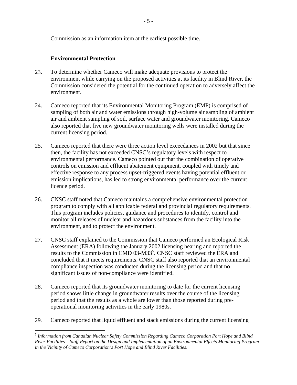Commission as an information item at the earliest possible time.

## **Environmental Protection**

 $\overline{a}$ 

- 23. To determine whether Cameco will make adequate provisions to protect the environment while carrying on the proposed activities at its facility in Blind River, the Commission considered the potential for the continued operation to adversely affect the environment.
- 24. Cameco reported that its Environmental Monitoring Program (EMP) is comprised of sampling of both air and water emissions through high-volume air sampling of ambient air and ambient sampling of soil, surface water and groundwater monitoring. Cameco also reported that five new groundwater monitoring wells were installed during the current licensing period.
- 25. Cameco reported that there were three action level exceedances in 2002 but that since then, the facility has not exceeded CNSC's regulatory levels with respect to environmental performance. Cameco pointed out that the combination of operative controls on emission and effluent abatement equipment, coupled with timely and effective response to any process upset-triggered events having potential effluent or emission implications, has led to strong environmental performance over the current licence period.
- 26. CNSC staff noted that Cameco maintains a comprehensive environmental protection program to comply with all applicable federal and provincial regulatory requirements. This program includes policies, guidance and procedures to identify, control and monitor all releases of nuclear and hazardous substances from the facility into the environment, and to protect the environment.
- 27. CNSC staff explained to the Commission that Cameco performed an Ecological Risk Assessment (ERA) following the January 2002 licensing hearing and reported the results to the Commission in CMD 03-M33<sup>5</sup>. CNSC staff reviewed the ERA and concluded that it meets requirements. CNSC staff also reported that an environmental compliance inspection was conducted during the licensing period and that no significant issues of non-compliance were identified.
- 28. Cameco reported that its groundwater monitoring to date for the current licensing period shows little change in groundwater results over the course of the licensing period and that the results as a whole are lower than those reported during preoperational monitoring activities in the early 1980s.
- 29. Cameco reported that liquid effluent and stack emissions during the current licensing

<sup>5</sup> *Information from Canadian Nuclear Safety Commission Regarding Cameco Corporation Port Hope and Blind River Facilities – Staff Report on the Design and Implementation of an Environmental Effects Monitoring Program in the Vicinity of Cameco Corporation's Port Hope and Blind River Facilities*.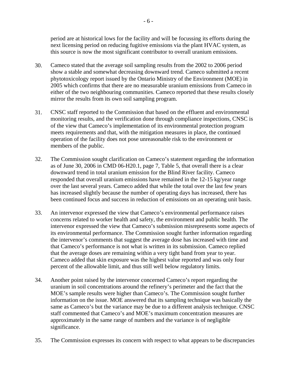period are at historical lows for the facility and will be focussing its efforts during the next licensing period on reducing fugitive emissions via the plant HVAC system, as this source is now the most significant contributor to overall uranium emissions.

- 30. Cameco stated that the average soil sampling results from the 2002 to 2006 period show a stable and somewhat decreasing downward trend. Cameco submitted a recent phytotoxicology report issued by the Ontario Ministry of the Environment (MOE) in 2005 which confirms that there are no measurable uranium emissions from Cameco in either of the two neighbouring communities. Cameco reported that these results closely mirror the results from its own soil sampling program.
- 31. CNSC staff reported to the Commission that based on the effluent and environmental monitoring results, and the verification done through compliance inspections, CNSC is of the view that Cameco's implementation of its environmental protection program meets requirements and that, with the mitigation measures in place, the continued operation of the facility does not pose unreasonable risk to the environment or members of the public.
- 32. The Commission sought clarification on Cameco's statement regarding the information as of June 30, 2006 in CMD 06-H20.1, page 7, Table 5, that overall there is a clear downward trend in total uranium emission for the Blind River facility. Cameco responded that overall uranium emissions have remained in the 12-15 kg/year range over the last several years. Cameco added that while the total over the last few years has increased slightly because the number of operating days has increased, there has been continued focus and success in reduction of emissions on an operating unit basis.
- 33. An intervenor expressed the view that Cameco's environmental performance raises concerns related to worker health and safety, the environment and public health. The intervenor expressed the view that Cameco's submission misrepresents some aspects of its environmental performance. The Commission sought further information regarding the intervenor's comments that suggest the average dose has increased with time and that Cameco's performance is not what is written in its submission. Cameco replied that the average doses are remaining within a very tight band from year to year. Cameco added that skin exposure was the highest value reported and was only four percent of the allowable limit, and thus still well below regulatory limits.
- 34. Another point raised by the intervenor concerned Cameco's report regarding the uranium in soil concentrations around the refinery's perimeter and the fact that the MOE's sample results were higher than Cameco's. The Commission sought further information on the issue. MOE answered that its sampling technique was basically the same as Cameco's but the variance may be due to a different analysis technique. CNSC staff commented that Cameco's and MOE's maximum concentration measures are approximately in the same range of numbers and the variance is of negligible significance.
- 35. The Commission expresses its concern with respect to what appears to be discrepancies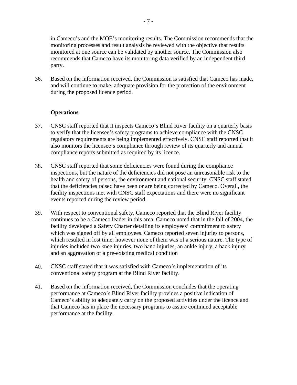in Cameco's and the MOE's monitoring results. The Commission recommends that the monitoring processes and result analysis be reviewed with the objective that results monitored at one source can be validated by another source. The Commission also recommends that Cameco have its monitoring data verified by an independent third party.

36. Based on the information received, the Commission is satisfied that Cameco has made, and will continue to make, adequate provision for the protection of the environment during the proposed licence period.

### **Operations**

- 37. CNSC staff reported that it inspects Cameco's Blind River facility on a quarterly basis to verify that the licensee's safety programs to achieve compliance with the CNSC regulatory requirements are being implemented effectively. CNSC staff reported that it also monitors the licensee's compliance through review of its quarterly and annual compliance reports submitted as required by its licence.
- 38. CNSC staff reported that some deficiencies were found during the compliance inspections, but the nature of the deficiencies did not pose an unreasonable risk to the health and safety of persons, the environment and national security. CNSC staff stated that the deficiencies raised have been or are being corrected by Cameco. Overall, the facility inspections met with CNSC staff expectations and there were no significant events reported during the review period.
- 39. With respect to conventional safety, Cameco reported that the Blind River facility continues to be a Cameco leader in this area. Cameco noted that in the fall of 2004, the facility developed a Safety Charter detailing its employees' commitment to safety which was signed off by all employees. Cameco reported seven injuries to persons, which resulted in lost time; however none of them was of a serious nature. The type of injuries included two knee injuries, two hand injuries, an ankle injury, a back injury and an aggravation of a pre-existing medical condition
- 40. CNSC staff stated that it was satisfied with Cameco's implementation of its conventional safety program at the Blind River facility.
- 41. Based on the information received, the Commission concludes that the operating performance at Cameco's Blind River facility provides a positive indication of Cameco's ability to adequately carry on the proposed activities under the licence and that Cameco has in place the necessary programs to assure continued acceptable performance at the facility.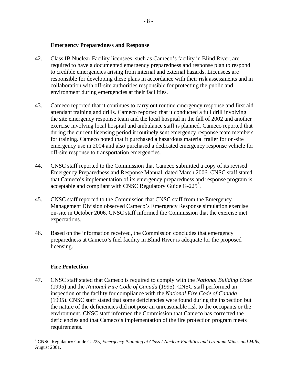#### **Emergency Preparedness and Response**

- 42. Class IB Nuclear Facility licensees, such as Cameco's facility in Blind River, are required to have a documented emergency preparedness and response plan to respond to credible emergencies arising from internal and external hazards. Licensees are responsible for developing these plans in accordance with their risk assessments and in collaboration with off-site authorities responsible for protecting the public and environment during emergencies at their facilities.
- 43. Cameco reported that it continues to carry out routine emergency response and first aid attendant training and drills. Cameco reported that it conducted a full drill involving the site emergency response team and the local hospital in the fall of 2002 and another exercise involving local hospital and ambulance staff is planned. Cameco reported that during the current licensing period it routinely sent emergency response team members for training. Cameco noted that it purchased a hazardous material trailer for on-site emergency use in 2004 and also purchased a dedicated emergency response vehicle for off-site response to transportation emergencies.
- 44. CNSC staff reported to the Commission that Cameco submitted a copy of its revised Emergency Preparedness and Response Manual, dated March 2006. CNSC staff stated that Cameco's implementation of its emergency preparedness and response program is acceptable and compliant with CNSC Regulatory Guide G-225<sup>6</sup>.
- 45. CNSC staff reported to the Commission that CNSC staff from the Emergency Management Division observed Cameco's Emergency Response simulation exercise on-site in October 2006. CNSC staff informed the Commission that the exercise met expectations.
- 46. Based on the information received, the Commission concludes that emergency preparedness at Cameco's fuel facility in Blind River is adequate for the proposed licensing.

# **Fire Protection**

 $\overline{a}$ 

47. CNSC staff stated that Cameco is required to comply with the *National Building Code*  (1995) and the *National Fire Code of Canada* (1995). CNSC staff performed an inspection of the facility for compliance with the *National Fire Code of Canada* (1995). CNSC staff stated that some deficiencies were found during the inspection but the nature of the deficiencies did not pose an unreasonable risk to the occupants or the environment. CNSC staff informed the Commission that Cameco has corrected the deficiencies and that Cameco's implementation of the fire protection program meets requirements.

<sup>6</sup> CNSC Regulatory Guide G-225, *Emergency Planning at Class I Nuclear Facilities and Uranium Mines and Mills*, August 2001.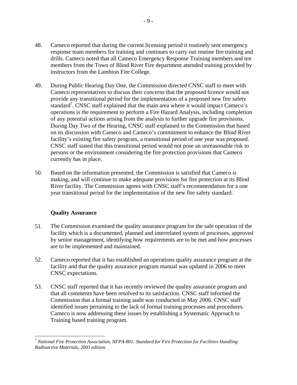- 48. Cameco reported that during the current licensing period it routinely sent emergency response team members for training and continues to carry out routine fire training and drills. Cameco noted that all Cameco Emergency Response Training members and ten members from the Town of Blind River Fire department attended training provided by instructors from the Lambton Fire College.
- 49. During Public Hearing Day One, the Commission directed CNSC staff to meet with Cameco representatives to discuss their concerns that the proposed licence would not provide any transitional period for the implementation of a proposed new fire safety standard<sup>7</sup>. CNSC staff explained that the main area where it would impact Cameco's operations is the requirement to perform a Fire Hazard Analysis, including completion of any potential actions arising from the analysis to further upgrade fire provisions. During Day Two of the Hearing, CNSC staff explained to the Commission that based on its discussion with Cameco and Cameco's commitment to enhance the Blind River facility's existing fire safety program, a transitional period of one year was proposed. CNSC staff stated that this transitional period would not pose an unreasonable risk to persons or the environment considering the fire protection provisions that Cameco currently has in place.
- 50. Based on the information presented, the Commission is satisfied that Cameco is making, and will continue to make adequate provisions for fire protection at its Blind River facility. The Commission agrees with CNSC staff's recommendation for a one year transitional period for the implementation of the new fire safety standard.

# **Quality Assurance**

1

- 51. The Commission examined the quality assurance program for the safe operation of the facility which is a documented, planned and interrelated system of processes, approved by senior management, identifying how requirements are to be met and how processes are to be implemented and maintained.
- 52. Cameco reported that it has established an operations quality assurance program at the facility and that the quality assurance program manual was updated in 2006 to meet CNSC expectations.
- 53. CNSC staff reported that it has recently reviewed the quality assurance program and that all comments have been resolved to its satisfaction. CNSC staff informed the Commission that a formal training audit was conducted in May 2006. CNSC staff identified issues pertaining to the lack of formal training processes and procedures. Cameco is now addressing these issues by establishing a Systematic Approach to Training based training program.

<sup>7</sup> *National Fire Protection Association, NFPA-801: Standard for Fire Protection for Facilities Handling Radioactive Materials, 2003 edition.*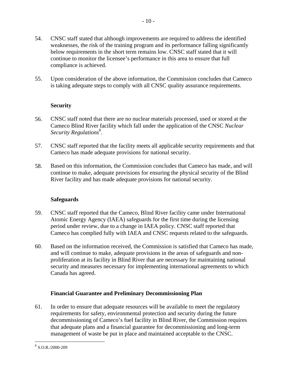55. Upon consideration of the above information, the Commission concludes that Cameco is taking adequate steps to comply with all CNSC quality assurance requirements.

# **Security**

- 56. CNSC staff noted that there are no nuclear materials processed, used or stored at the Cameco Blind River facility which fall under the application of the CNSC *Nuclear*  Security Regulations<sup>8</sup>.
- 57. CNSC staff reported that the facility meets all applicable security requirements and that Cameco has made adequate provisions for national security.
- 58. Based on this information, the Commission concludes that Cameco has made, and will continue to make, adequate provisions for ensuring the physical security of the Blind River facility and has made adequate provisions for national security.

#### **Safeguards**

- 59. CNSC staff reported that the Cameco, Blind River facility came under International Atomic Energy Agency (IAEA) safeguards for the first time during the licensing period under review, due to a change in IAEA policy. CNSC staff reported that Cameco has complied fully with IAEA and CNSC requests related to the safeguards.
- 60. Based on the information received, the Commission is satisfied that Cameco has made, and will continue to make, adequate provisions in the areas of safeguards and nonproliferation at its facility in Blind River that are necessary for maintaining national security and measures necessary for implementing international agreements to which Canada has agreed.

# **Financial Guarantee and Preliminary Decommissioning Plan**

61. In order to ensure that adequate resources will be available to meet the regulatory requirements for safety, environmental protection and security during the future decommissioning of Cameco's fuel facility in Blind River, the Commission requires that adequate plans and a financial guarantee for decommissioning and long-term management of waste be put in place and maintained acceptable to the CNSC.

<u>.</u>

 $8$  S.O.R./2000-209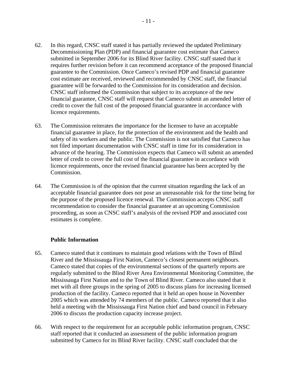- 62. In this regard, CNSC staff stated it has partially reviewed the updated Preliminary Decommissioning Plan (PDP) and financial guarantee cost estimate that Cameco submitted in September 2006 for its Blind River facility. CNSC staff stated that it requires further revision before it can recommend acceptance of the proposed financial guarantee to the Commission. Once Cameco's revised PDP and financial guarantee cost estimate are received, reviewed and recommended by CNSC staff, the financial guarantee will be forwarded to the Commission for its consideration and decision. CNSC staff informed the Commission that subject to its acceptance of the new financial guarantee, CNSC staff will request that Cameco submit an amended letter of credit to cover the full cost of the proposed financial guarantee in accordance with licence requirements.
- 63. The Commission reiterates the importance for the licensee to have an acceptable financial guarantee in place, for the protection of the environment and the health and safety of its workers and the public. The Commission is not satisfied that Cameco has not filed important documentation with CNSC staff in time for its consideration in advance of the hearing. The Commission expects that Cameco will submit an amended letter of credit to cover the full cost of the financial guarantee in accordance with licence requirements, once the revised financial guarantee has been accepted by the Commission.
- 64. The Commission is of the opinion that the current situation regarding the lack of an acceptable financial guarantee does not pose an unreasonable risk for the time being for the purpose of the proposed licence renewal. The Commission accepts CNSC staff recommendation to consider the financial guarantee at an upcoming Commission proceeding, as soon as CNSC staff's analysis of the revised PDP and associated cost estimates is complete.

#### **Public Information**

- 65. Cameco stated that it continues to maintain good relations with the Town of Blind River and the Mississauga First Nation, Cameco's closest permanent neighbours. Cameco stated that copies of the environmental sections of the quarterly reports are regularly submitted to the Blind River Area Environmental Monitoring Committee, the Mississauga First Nation and to the Town of Blind River. Cameco also stated that it met with all three groups in the spring of 2005 to discuss plans for increasing licensed production of the facility. Cameco reported that it held an open house in November 2005 which was attended by 74 members of the public. Cameco reported that it also held a meeting with the Mississauga First Nation chief and band council in February 2006 to discuss the production capacity increase project.
- 66. With respect to the requirement for an acceptable public information program, CNSC staff reported that it conducted an assessment of the public information program submitted by Cameco for its Blind River facility. CNSC staff concluded that the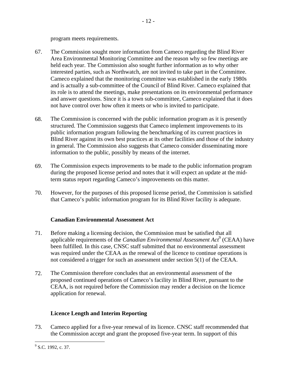program meets requirements.

- 67. The Commission sought more information from Cameco regarding the Blind River Area Environmental Monitoring Committee and the reason why so few meetings are held each year. The Commission also sought further information as to why other interested parties, such as Northwatch, are not invited to take part in the Committee. Cameco explained that the monitoring committee was established in the early 1980s and is actually a sub-committee of the Council of Blind River. Cameco explained that its role is to attend the meetings, make presentations on its environmental performance and answer questions. Since it is a town sub-committee, Cameco explained that it does not have control over how often it meets or who is invited to participate.
- 68. The Commission is concerned with the public information program as it is presently structured. The Commission suggests that Cameco implement improvements to its public information program following the benchmarking of its current practices in Blind River against its own best practices at its other facilities and those of the industry in general. The Commission also suggests that Cameco consider disseminating more information to the public, possibly by means of the internet.
- 69. The Commission expects improvements to be made to the public information program during the proposed license period and notes that it will expect an update at the midterm status report regarding Cameco's improvements on this matter.
- 70. However, for the purposes of this proposed license period, the Commission is satisfied that Cameco's public information program for its Blind River facility is adequate.

# **Canadian Environmental Assessment Act**

- 71. Before making a licensing decision, the Commission must be satisfied that all applicable requirements of the *Canadian Environmental Assessment Act*<sup>9</sup> (CEAA) have been fulfilled. In this case, CNSC staff submitted that no environmental assessment was required under the CEAA as the renewal of the licence to continue operations is not considered a trigger for such an assessment under section 5(1) of the CEAA.
- 72. The Commission therefore concludes that an environmental assessment of the proposed continued operations of Cameco's facility in Blind River, pursuant to the CEAA, is not required before the Commission may render a decision on the licence application for renewal.

# **Licence Length and Interim Reporting**

73. Cameco applied for a five-year renewal of its licence. CNSC staff recommended that the Commission accept and grant the proposed five-year term. In support of this

 $\overline{a}$  $9^9$  S.C. 1992, c. 37.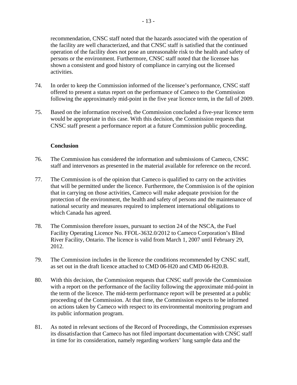recommendation, CNSC staff noted that the hazards associated with the operation of the facility are well characterized, and that CNSC staff is satisfied that the continued operation of the facility does not pose an unreasonable risk to the health and safety of persons or the environment. Furthermore, CNSC staff noted that the licensee has shown a consistent and good history of compliance in carrying out the licensed activities.

- 74. In order to keep the Commission informed of the licensee's performance, CNSC staff offered to present a status report on the performance of Cameco to the Commission following the approximately mid-point in the five year licence term, in the fall of 2009.
- 75. Based on the information received, the Commission concluded a five-year licence term would be appropriate in this case. With this decision, the Commission requests that CNSC staff present a performance report at a future Commission public proceeding.

#### **Conclusion**

- 76. The Commission has considered the information and submissions of Cameco, CNSC staff and intervenors as presented in the material available for reference on the record.
- 77. The Commission is of the opinion that Cameco is qualified to carry on the activities that will be permitted under the licence. Furthermore, the Commission is of the opinion that in carrying on those activities, Cameco will make adequate provision for the protection of the environment, the health and safety of persons and the maintenance of national security and measures required to implement international obligations to which Canada has agreed.
- 78. The Commission therefore issues, pursuant to section 24 of the NSCA, the Fuel Facility Operating Licence No. FFOL-3632.0/2012 to Cameco Corporation's Blind River Facility, Ontario. The licence is valid from March 1, 2007 until February 29, 2012.
- 79. The Commission includes in the licence the conditions recommended by CNSC staff, as set out in the draft licence attached to CMD 06-H20 and CMD 06-H20.B.
- 80. With this decision, the Commission requests that CNSC staff provide the Commission with a report on the performance of the facility following the approximate mid-point in the term of the licence. The mid-term performance report will be presented at a public proceeding of the Commission. At that time, the Commission expects to be informed on actions taken by Cameco with respect to its environmental monitoring program and its public information program.
- 81. As noted in relevant sections of the Record of Proceedings, the Commission expresses its dissatisfaction that Cameco has not filed important documentation with CNSC staff in time for its consideration, namely regarding workers' lung sample data and the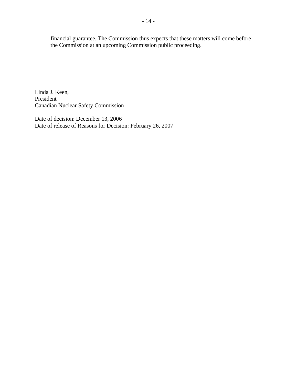financial guarantee. The Commission thus expects that these matters will come before the Commission at an upcoming Commission public proceeding.

Linda J. Keen, President Canadian Nuclear Safety Commission

Date of decision: December 13, 2006 Date of release of Reasons for Decision: February 26, 2007